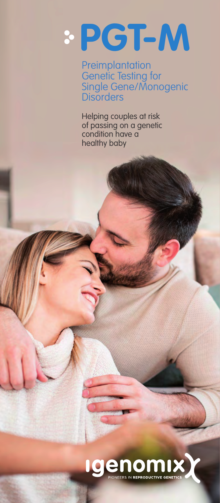# **PGT-M**

**Preimplantation** Genetic Testing for Single Gene/Monogenic **Disorders** 

Helping couples at risk of passing on a genetic condition have a healthy baby

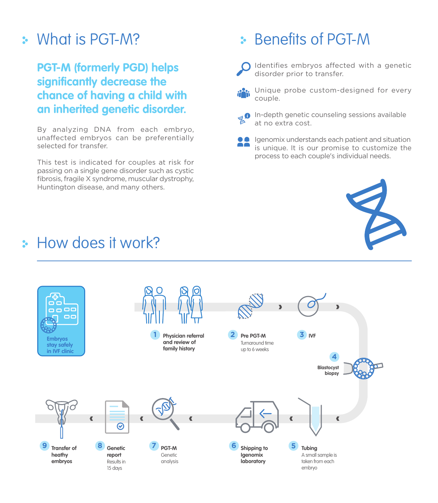## What is PGT-M?

#### **PGT-M (formerly PGD) helps significantly decrease the chance of having a child with an inherited genetic disorder.**

By analyzing DNA from each embryo, unaffected embryos can be preferentially selected for transfer.

This test is indicated for couples at risk for passing on a single gene disorder such as cystic fibrosis, fragile X syndrome, muscular dystrophy, Huntington disease, and many others.

# Benefits of PGT-M



Identifies embryos affected with a genetic disorder prior to transfer.

**Pos** Unique probe custom-designed for every couple.

- **O** In-depth genetic counseling sessions available at no extra cost.
	- Igenomix understands each patient and situation is unique. It is our promise to customize the process to each couple's individual needs.



### **How does it work?**